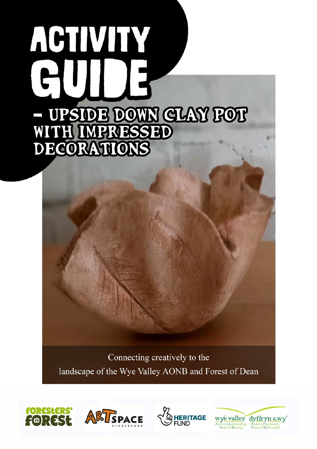# ACTIVITY - UPSIOE DOWN GLAY FOT DECORATIONS

Connecting creatively to the landscape of the Wye Valley AONB and Forest of Dean







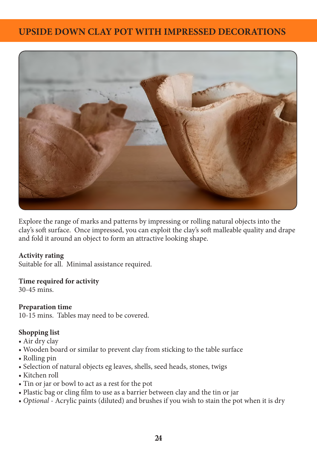# **UPSIDE DOWN CLAY POT WITH IMPRESSED DECORATIONS**



Explore the range of marks and patterns by impressing or rolling natural objects into the clay's soft surface. Once impressed, you can exploit the clay's soft malleable quality and drape and fold it around an object to form an attractive looking shape.

#### **Activity rating**

Suitable for all. Minimal assistance required.

#### **Time required for activity**

30-45 mins.

## **Preparation time**

10-15 mins. Tables may need to be covered.

## **Shopping list**

- Air dry clay
- Wooden board or similar to prevent clay from sticking to the table surface
- Rolling pin
- Selection of natural objects eg leaves, shells, seed heads, stones, twigs
- Kitchen roll
- Tin or jar or bowl to act as a rest for the pot
- Plastic bag or cling film to use as a barrier between clay and the tin or jar
- *Optional*  Acrylic paints (diluted) and brushes if you wish to stain the pot when it is dry